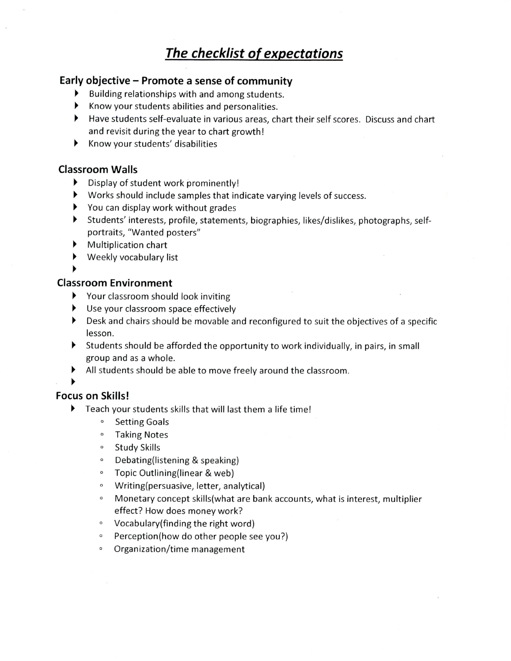# **The checklist of expectations**

### **Early objective - Promote a sense of community**

- > Building relationships with and among students.
- > Know your students abilities and personalities.
- > Have students self-evaluate in various areas, chart their self scores. Discuss and chart and revisit during the year to chart growth!
- ▶ Know your students' disabilities

## **Classroom Walls**

- > Display of student work prominently!
- > Works should include samples that indicate varying levels of success.
- > You can display work without grades
- > Students' interests, profile, statements, biographies, likes/dislikes, photographs, selfportraits, "Wanted posters"
- > Multiplication chart
- Weekly vocabulary list

>

## **Classroom Environment**

- > Your classroom should look inviting
- > Use your classroom space effectively
- > Desk and chairs should be movable and reconfigured to suit the objectives of a specific lesson.
- > Students should be afforded the opportunity to work individually, in pairs, in small group and as a whole.
- > All students should be able to move freely around the classroom.

#### >

## **Focus on Skills!**

- > Teach your students skills that will last them a life time!
	- ° Setting Goals
	- ° Taking Notes
	- ° Study Skills
	- ° Debating(listening & speaking)
	- ° Topic Outlining(linear & web)
	- $\circ$ Writing(persuasive, letter, analytical)
	- ° Monetary concept skills(what are bank accounts, what is interest, multiplier effect? How does money work?
	- Vocabulary(finding the right word)  $\circ$
	- ° Perception(how do other people see you?)
	- ° Organization/time management